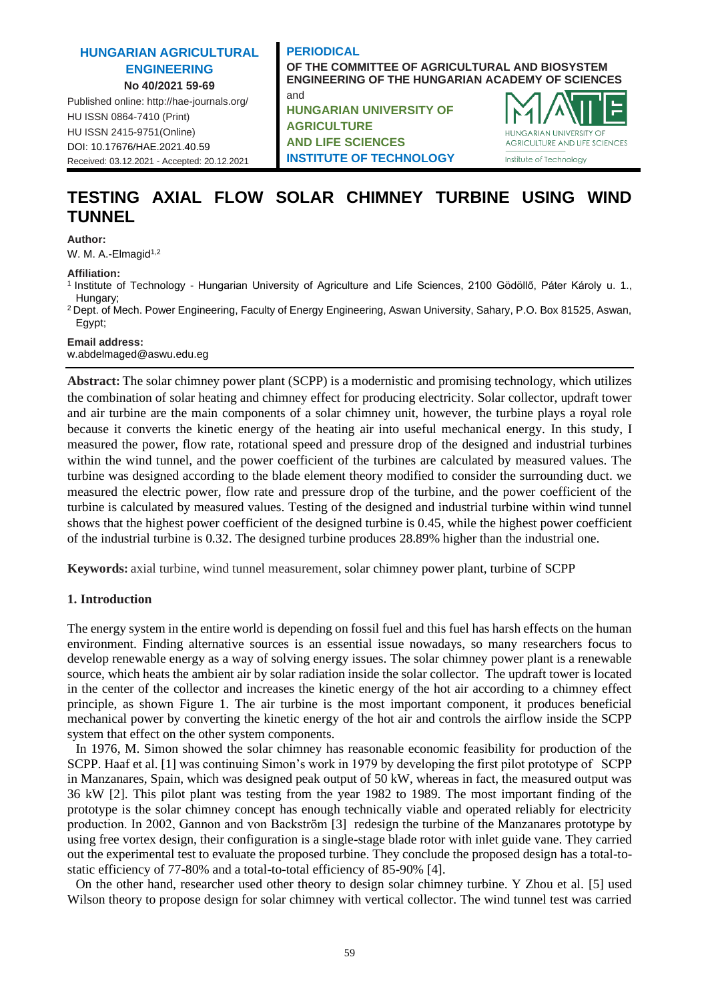#### **HUNGARIAN AGRICULTURAL ENGINEERING No 40/2021 59-69**

Published online: http://hae-journals.org/ HU ISSN 0864-7410 (Print) HU ISSN 2415-9751(Online) [DOI: 10.17676/HAE.2021.40.59](https://doi.org/10.17676/HAE.2021.40.59) Received: 03.12.2021 - Accepted: 20.12.2021

#### **PERIODICAL OF THE COMMITTEE OF AGRICULTURAL AND BIOSYSTEM ENGINEERING OF THE HUNGARIAN ACADEMY OF SCIENCES** and **HUNGARIAN UNIVERSITY OF AGRICULTURE**

**AND LIFE SCIENCES INSTITUTE OF TECHNOLOGY**



# **TESTING AXIAL FLOW SOLAR CHIMNEY TURBINE USING WIND TUNNEL**

**Author:**

W. M. A.-Elmagid<sup>1,2</sup>

**Affiliation:**

- <sup>1</sup>Institute of Technology Hungarian University of Agriculture and Life Sciences, 2100 Gödöllő, Páter Károly u. 1., Hungary;
- <sup>2</sup> Dept. of Mech. Power Engineering, Faculty of Energy Engineering, Aswan University, Sahary, P.O. Box 81525, Aswan, Egypt;

**Email address:**

w.abdelmaged@aswu.edu.eg

**Abstract:** The solar chimney power plant (SCPP) is a modernistic and promising technology, which utilizes the combination of solar heating and chimney effect for producing electricity. Solar collector, updraft tower and air turbine are the main components of a solar chimney unit, however, the turbine plays a royal role because it converts the kinetic energy of the heating air into useful mechanical energy. In this study, I measured the power, flow rate, rotational speed and pressure drop of the designed and industrial turbines within the wind tunnel, and the power coefficient of the turbines are calculated by measured values. The turbine was designed according to the blade element theory modified to consider the surrounding duct. we measured the electric power, flow rate and pressure drop of the turbine, and the power coefficient of the turbine is calculated by measured values. Testing of the designed and industrial turbine within wind tunnel shows that the highest power coefficient of the designed turbine is 0.45, while the highest power coefficient of the industrial turbine is 0.32. The designed turbine produces 28.89% higher than the industrial one.

**Keywords:** axial turbine, wind tunnel measurement, solar chimney power plant, turbine of SCPP

# **1. Introduction**

The energy system in the entire world is depending on fossil fuel and this fuel has harsh effects on the human environment. Finding alternative sources is an essential issue nowadays, so many researchers focus to develop renewable energy as a way of solving energy issues. The solar chimney power plant is a renewable source, which heats the ambient air by solar radiation inside the solar collector. The updraft tower is located in the center of the collector and increases the kinetic energy of the hot air according to a chimney effect principle, as shown Figure 1. The air turbine is the most important component, it produces beneficial mechanical power by converting the kinetic energy of the hot air and controls the airflow inside the SCPP system that effect on the other system components.

In 1976, M. Simon showed the solar chimney has reasonable economic feasibility for production of the SCPP. Haaf et al. [1] was continuing Simon's work in 1979 by developing the first pilot prototype of SCPP in Manzanares, Spain, which was designed peak output of 50 kW, whereas in fact, the measured output was 36 kW [2]. This pilot plant was testing from the year 1982 to 1989. The most important finding of the prototype is the solar chimney concept has enough technically viable and operated reliably for electricity production. In 2002, Gannon and von Backström [3] redesign the turbine of the Manzanares prototype by using free vortex design, their configuration is a single-stage blade rotor with inlet guide vane. They carried out the experimental test to evaluate the proposed turbine. They conclude the proposed design has a total-tostatic efficiency of 77-80% and a total-to-total efficiency of 85-90% [4].

On the other hand, researcher used other theory to design solar chimney turbine. Y Zhou et al. [5] used Wilson theory to propose design for solar chimney with vertical collector. The wind tunnel test was carried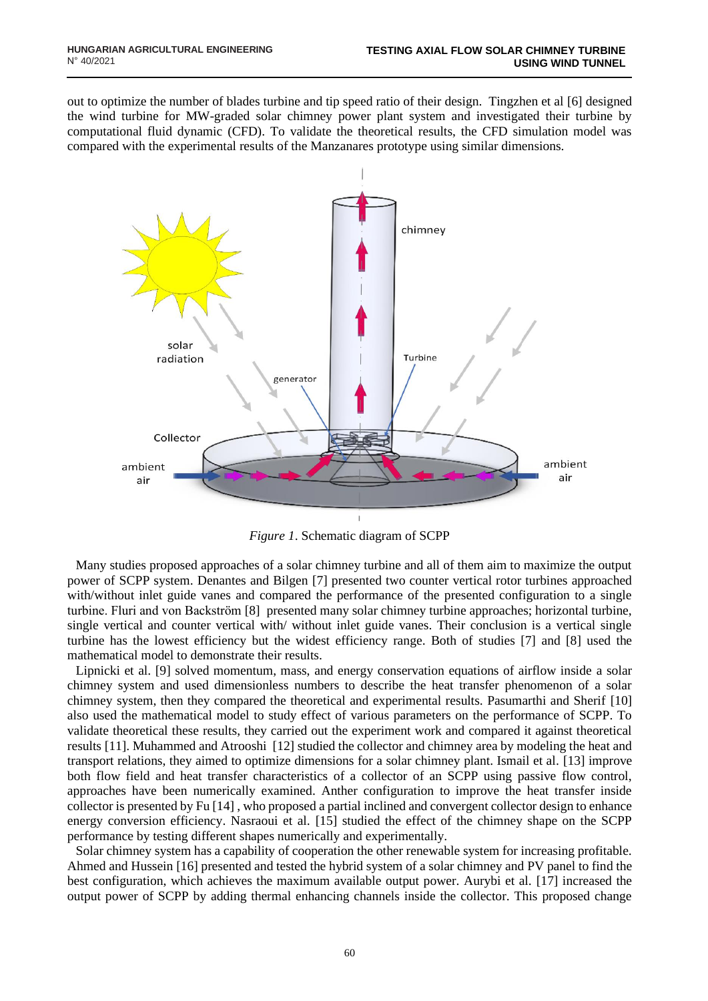out to optimize the number of blades turbine and tip speed ratio of their design. Tingzhen et al [6] designed the wind turbine for MW-graded solar chimney power plant system and investigated their turbine by computational fluid dynamic (CFD). To validate the theoretical results, the CFD simulation model was compared with the experimental results of the Manzanares prototype using similar dimensions.



*Figure 1*. Schematic diagram of SCPP

Many studies proposed approaches of a solar chimney turbine and all of them aim to maximize the output power of SCPP system. Denantes and Bilgen [7] presented two counter vertical rotor turbines approached with/without inlet guide vanes and compared the performance of the presented configuration to a single turbine. Fluri and von Backström [8] presented many solar chimney turbine approaches; horizontal turbine, single vertical and counter vertical with/ without inlet guide vanes. Their conclusion is a vertical single turbine has the lowest efficiency but the widest efficiency range. Both of studies [7] and [8] used the mathematical model to demonstrate their results.

Lipnicki et al. [9] solved momentum, mass, and energy conservation equations of airflow inside a solar chimney system and used dimensionless numbers to describe the heat transfer phenomenon of a solar chimney system, then they compared the theoretical and experimental results. Pasumarthi and Sherif [10] also used the mathematical model to study effect of various parameters on the performance of SCPP. To validate theoretical these results, they carried out the experiment work and compared it against theoretical results [11]. Muhammed and Atrooshi [12] studied the collector and chimney area by modeling the heat and transport relations, they aimed to optimize dimensions for a solar chimney plant. Ismail et al. [13] improve both flow field and heat transfer characteristics of a collector of an SCPP using passive flow control, approaches have been numerically examined. Anther configuration to improve the heat transfer inside collector is presented by Fu [14] , who proposed a partial inclined and convergent collector design to enhance energy conversion efficiency. Nasraoui et al. [15] studied the effect of the chimney shape on the SCPP performance by testing different shapes numerically and experimentally.

Solar chimney system has a capability of cooperation the other renewable system for increasing profitable. Ahmed and Hussein [16] presented and tested the hybrid system of a solar chimney and PV panel to find the best configuration, which achieves the maximum available output power. Aurybi et al. [17] increased the output power of SCPP by adding thermal enhancing channels inside the collector. This proposed change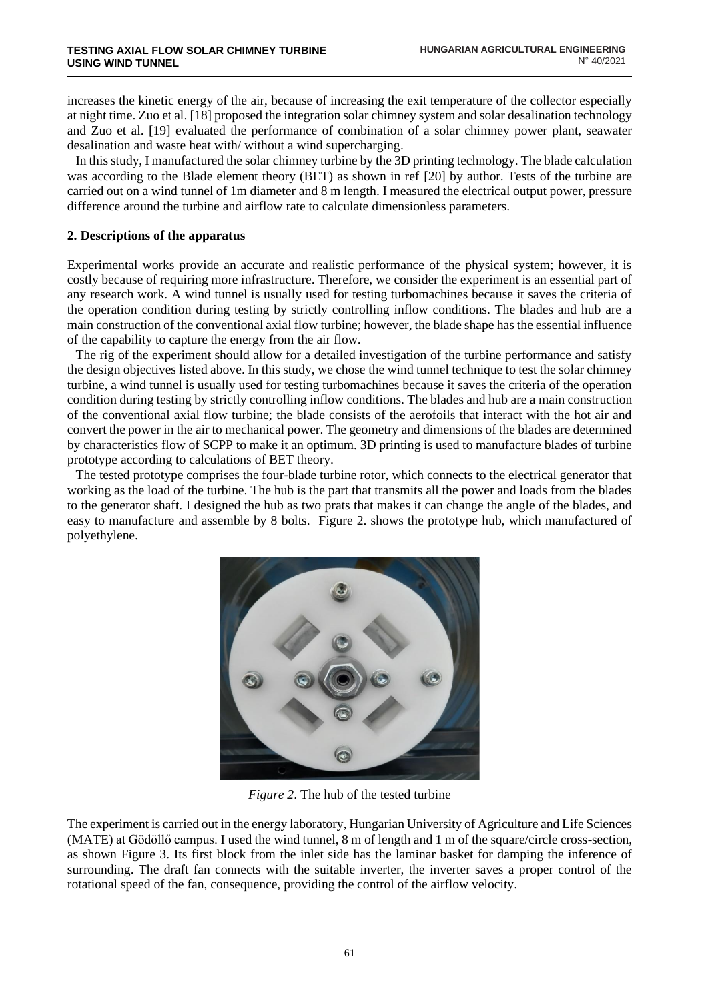increases the kinetic energy of the air, because of increasing the exit temperature of the collector especially at night time. Zuo et al. [18] proposed the integration solar chimney system and solar desalination technology and Zuo et al. [19] evaluated the performance of combination of a solar chimney power plant, seawater desalination and waste heat with/ without a wind supercharging.

In this study, I manufactured the solar chimney turbine by the 3D printing technology. The blade calculation was according to the Blade element theory (BET) as shown in ref [20] by author. Tests of the turbine are carried out on a wind tunnel of 1m diameter and 8 m length. I measured the electrical output power, pressure difference around the turbine and airflow rate to calculate dimensionless parameters.

#### **2. Descriptions of the apparatus**

Experimental works provide an accurate and realistic performance of the physical system; however, it is costly because of requiring more infrastructure. Therefore, we consider the experiment is an essential part of any research work. A wind tunnel is usually used for testing turbomachines because it saves the criteria of the operation condition during testing by strictly controlling inflow conditions. The blades and hub are a main construction of the conventional axial flow turbine; however, the blade shape has the essential influence of the capability to capture the energy from the air flow.

The rig of the experiment should allow for a detailed investigation of the turbine performance and satisfy the design objectives listed above. In this study, we chose the wind tunnel technique to test the solar chimney turbine, a wind tunnel is usually used for testing turbomachines because it saves the criteria of the operation condition during testing by strictly controlling inflow conditions. The blades and hub are a main construction of the conventional axial flow turbine; the blade consists of the aerofoils that interact with the hot air and convert the power in the air to mechanical power. The geometry and dimensions of the blades are determined by characteristics flow of SCPP to make it an optimum. 3D printing is used to manufacture blades of turbine prototype according to calculations of BET theory.

The tested prototype comprises the four-blade turbine rotor, which connects to the electrical generator that working as the load of the turbine. The hub is the part that transmits all the power and loads from the blades to the generator shaft. I designed the hub as two prats that makes it can change the angle of the blades, and easy to manufacture and assemble by 8 bolts. Figure 2. shows the prototype hub, which manufactured of polyethylene.



*Figure 2*. The hub of the tested turbine

The experiment is carried out in the energy laboratory, Hungarian University of Agriculture and Life Sciences (MATE) at Gödöllő campus. I used the wind tunnel, 8 m of length and 1 m of the square/circle cross-section, as shown Figure 3. Its first block from the inlet side has the laminar basket for damping the inference of surrounding. The draft fan connects with the suitable inverter, the inverter saves a proper control of the rotational speed of the fan, consequence, providing the control of the airflow velocity.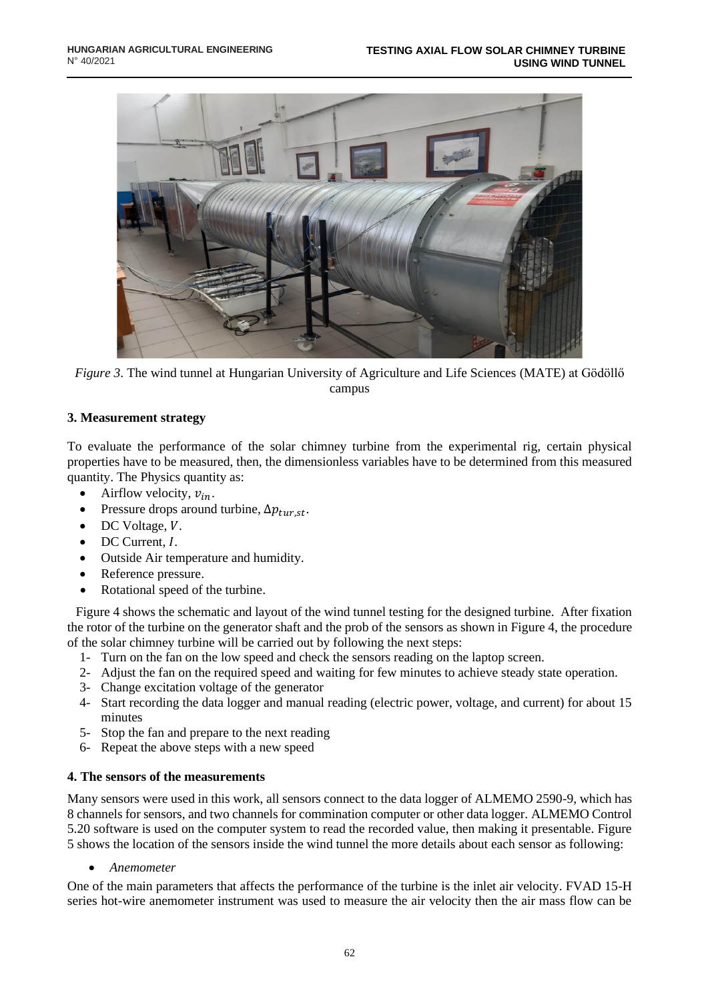

*Figure 3*. The wind tunnel at Hungarian University of Agriculture and Life Sciences (MATE) at Gödöllő campus

### **3. Measurement strategy**

To evaluate the performance of the solar chimney turbine from the experimental rig, certain physical properties have to be measured, then, the dimensionless variables have to be determined from this measured quantity. The Physics quantity as:

- Airflow velocity,  $v_{in}$ .
- Pressure drops around turbine,  $\Delta p_{\text{tur.st}}$ .
- $\bullet$  DC Voltage,  $V$ .
- $\bullet$  DC Current,  $I$ .
- Outside Air temperature and humidity.
- Reference pressure.
- Rotational speed of the turbine.

Figure 4 shows the schematic and layout of the wind tunnel testing for the designed turbine. After fixation the rotor of the turbine on the generator shaft and the prob of the sensors as shown in Figure 4, the procedure of the solar chimney turbine will be carried out by following the next steps:

- 1- Turn on the fan on the low speed and check the sensors reading on the laptop screen.
- 2- Adjust the fan on the required speed and waiting for few minutes to achieve steady state operation.
- 3- Change excitation voltage of the generator
- 4- Start recording the data logger and manual reading (electric power, voltage, and current) for about 15 minutes
- 5- Stop the fan and prepare to the next reading
- 6- Repeat the above steps with a new speed

#### **4. The sensors of the measurements**

Many sensors were used in this work, all sensors connect to the data logger of ALMEMO 2590-9, which has 8 channels for sensors, and two channels for commination computer or other data logger. ALMEMO Control 5.20 software is used on the computer system to read the recorded value, then making it presentable. Figure 5 shows the location of the sensors inside the wind tunnel the more details about each sensor as following:

• *Anemometer* 

One of the main parameters that affects the performance of the turbine is the inlet air velocity. FVAD 15-H series hot-wire anemometer instrument was used to measure the air velocity then the air mass flow can be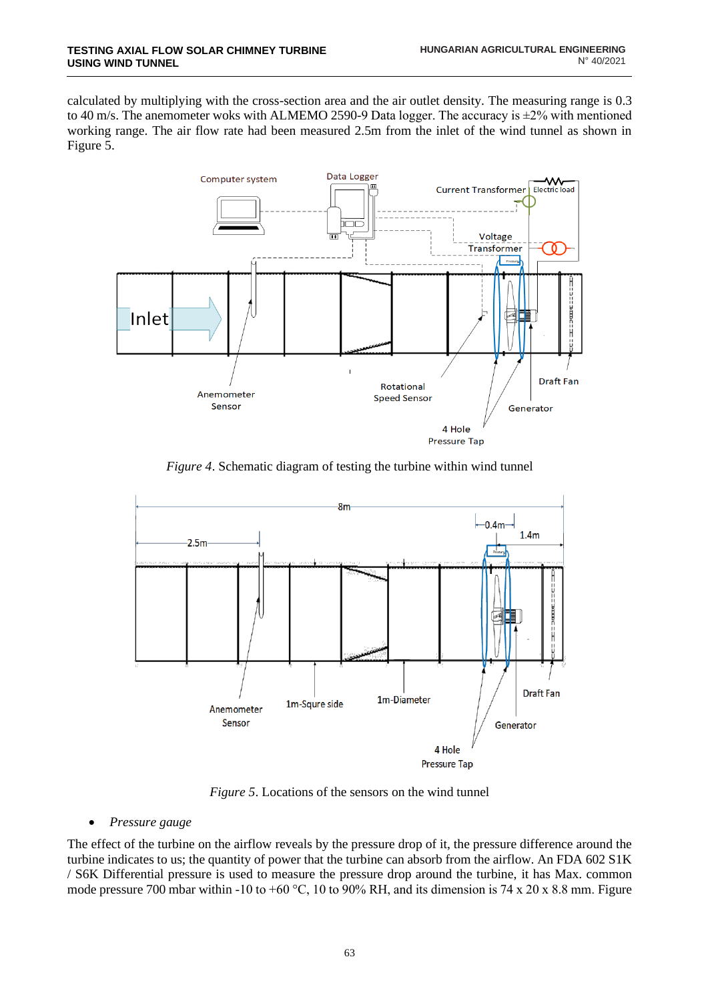calculated by multiplying with the cross-section area and the air outlet density. The measuring range is 0.3 to 40 m/s. The anemometer woks with ALMEMO 2590-9 Data logger. The accuracy is  $\pm 2\%$  with mentioned working range. The air flow rate had been measured 2.5m from the inlet of the wind tunnel as shown in Figure 5.



*Figure 4*. Schematic diagram of testing the turbine within wind tunnel



*Figure 5*. Locations of the sensors on the wind tunnel

• *Pressure gauge* 

The effect of the turbine on the airflow reveals by the pressure drop of it, the pressure difference around the turbine indicates to us; the quantity of power that the turbine can absorb from the airflow. An FDA 602 S1K / S6K Differential pressure is used to measure the pressure drop around the turbine, it has Max. common mode pressure 700 mbar within -10 to +60 °C, 10 to 90% RH, and its dimension is 74 x 20 x 8.8 mm. Figure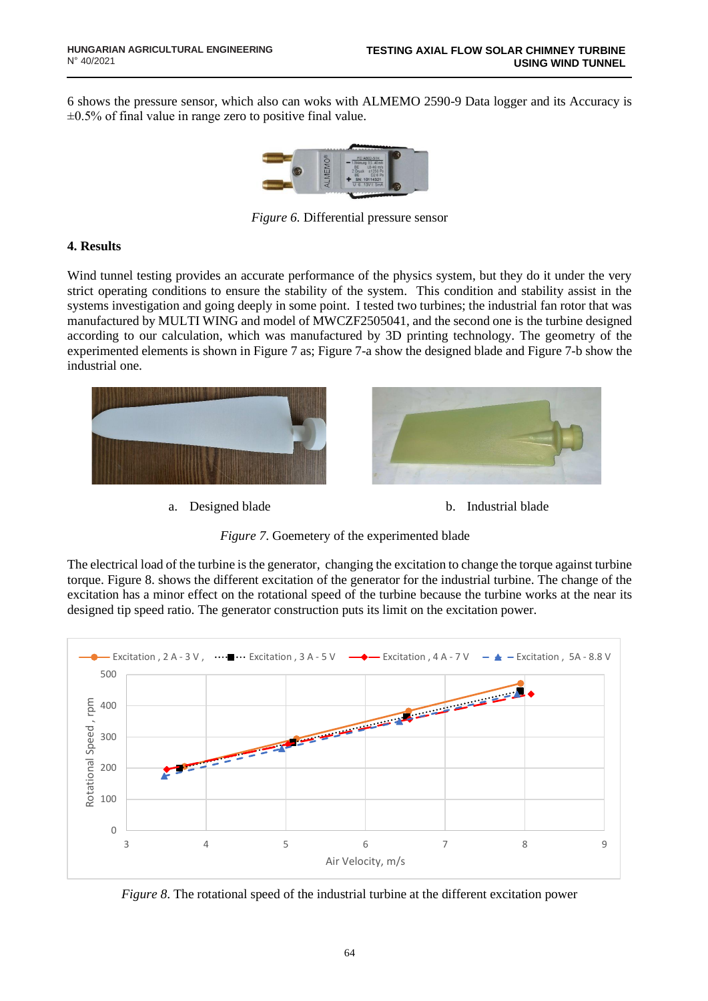6 shows the pressure sensor, which also can woks with ALMEMO 2590-9 Data logger and its Accuracy is  $\pm 0.5\%$  of final value in range zero to positive final value.



*Figure 6.* Differential pressure sensor

### **4. Results**

Wind tunnel testing provides an accurate performance of the physics system, but they do it under the very strict operating conditions to ensure the stability of the system. This condition and stability assist in the systems investigation and going deeply in some point. I tested two turbines; the industrial fan rotor that was manufactured by MULTI WING and model of MWCZF2505041, and the second one is the turbine designed according to our calculation, which was manufactured by 3D printing technology. The geometry of the experimented elements is shown in Figure 7 as; Figure 7-a show the designed blade and Figure 7-b show the industrial one.







*Figure 7*. Goemetery of the experimented blade

The electrical load of the turbine is the generator, changing the excitation to change the torque against turbine torque. Figure 8. shows the different excitation of the generator for the industrial turbine. The change of the excitation has a minor effect on the rotational speed of the turbine because the turbine works at the near its designed tip speed ratio. The generator construction puts its limit on the excitation power.



*Figure* 8. The rotational speed of the industrial turbine at the different excitation power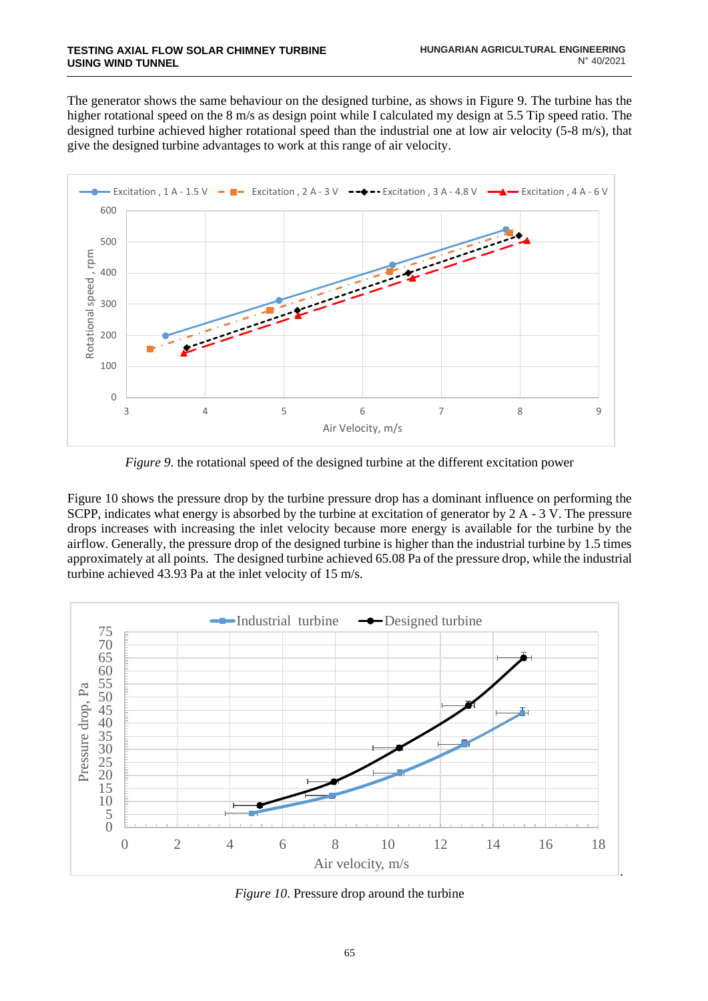The generator shows the same behaviour on the designed turbine, as shows in Figure 9. The turbine has the higher rotational speed on the 8 m/s as design point while I calculated my design at 5.5 Tip speed ratio. The designed turbine achieved higher rotational speed than the industrial one at low air velocity (5-8 m/s), that give the designed turbine advantages to work at this range of air velocity.



*Figure 9*. the rotational speed of the designed turbine at the different excitation power

Figure 10 shows the pressure drop by the turbine pressure drop has a dominant influence on performing the SCPP, indicates what energy is absorbed by the turbine at excitation of generator by 2 A - 3 V. The pressure drops increases with increasing the inlet velocity because more energy is available for the turbine by the airflow. Generally, the pressure drop of the designed turbine is higher than the industrial turbine by 1.5 times approximately at all points. The designed turbine achieved 65.08 Pa of the pressure drop, while the industrial turbine achieved 43.93 Pa at the inlet velocity of 15 m/s.



*Figure 10*. Pressure drop around the turbine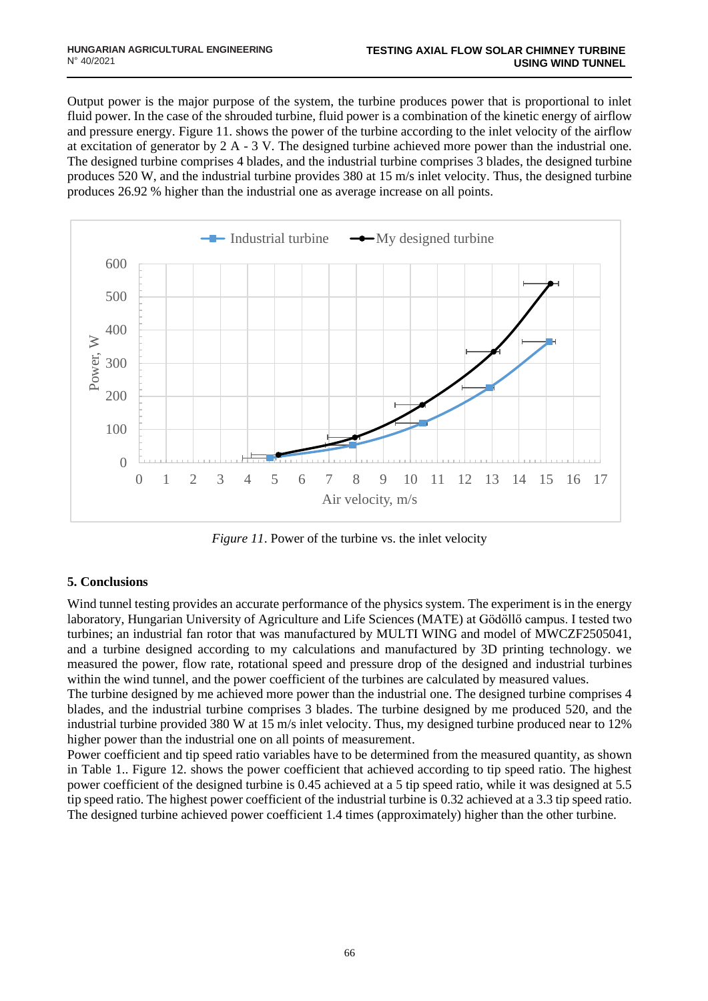Output power is the major purpose of the system, the turbine produces power that is proportional to inlet fluid power. In the case of the shrouded turbine, fluid power is a combination of the kinetic energy of airflow and pressure energy. Figure 11. shows the power of the turbine according to the inlet velocity of the airflow at excitation of generator by  $2 A - 3 V$ . The designed turbine achieved more power than the industrial one. The designed turbine comprises 4 blades, and the industrial turbine comprises 3 blades, the designed turbine produces 520 W, and the industrial turbine provides 380 at 15 m/s inlet velocity. Thus, the designed turbine produces 26.92 % higher than the industrial one as average increase on all points.



*Figure 11*. Power of the turbine vs. the inlet velocity

# **5. Conclusions**

Wind tunnel testing provides an accurate performance of the physics system. The experiment is in the energy laboratory, Hungarian University of Agriculture and Life Sciences (MATE) at Gödöllő campus. I tested two turbines; an industrial fan rotor that was manufactured by MULTI WING and model of MWCZF2505041, and a turbine designed according to my calculations and manufactured by 3D printing technology. we measured the power, flow rate, rotational speed and pressure drop of the designed and industrial turbines within the wind tunnel, and the power coefficient of the turbines are calculated by measured values.

The turbine designed by me achieved more power than the industrial one. The designed turbine comprises 4 blades, and the industrial turbine comprises 3 blades. The turbine designed by me produced 520, and the industrial turbine provided 380 W at 15 m/s inlet velocity. Thus, my designed turbine produced near to 12% higher power than the industrial one on all points of measurement.

Power coefficient and tip speed ratio variables have to be determined from the measured quantity, as shown in Table 1.. Figure 12. shows the power coefficient that achieved according to tip speed ratio. The highest power coefficient of the designed turbine is 0.45 achieved at a 5 tip speed ratio, while it was designed at 5.5 tip speed ratio. The highest power coefficient of the industrial turbine is 0.32 achieved at a 3.3 tip speed ratio. The designed turbine achieved power coefficient 1.4 times (approximately) higher than the other turbine.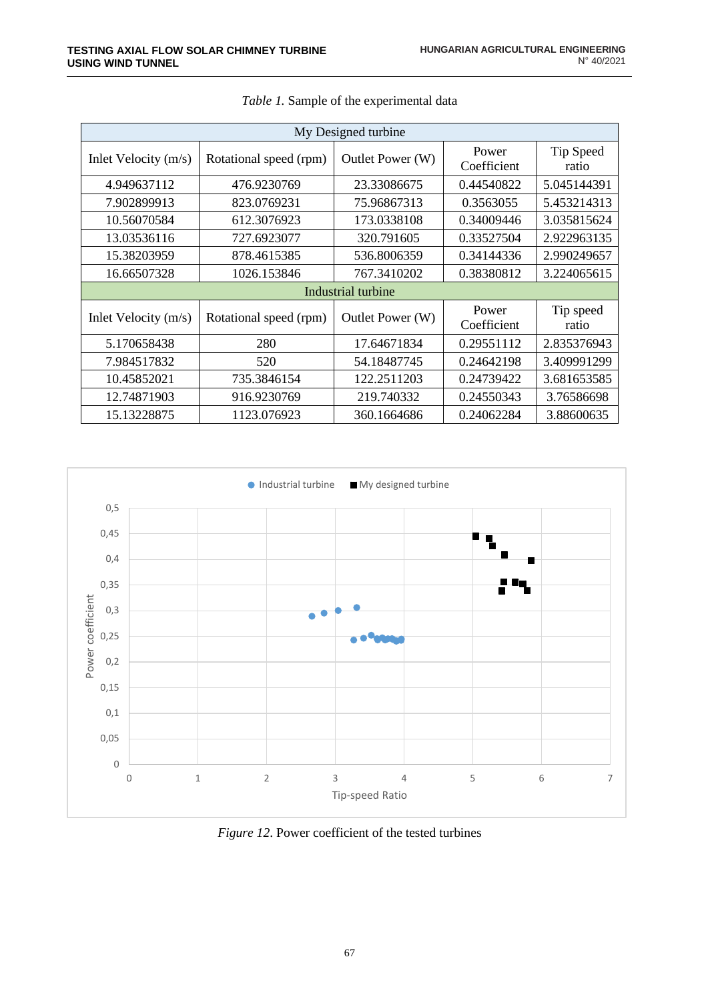| My Designed turbine  |                            |                  |                      |                    |  |  |
|----------------------|----------------------------|------------------|----------------------|--------------------|--|--|
| Inlet Velocity (m/s) | Rotational speed (rpm)     | Outlet Power (W) | Power<br>Coefficient | Tip Speed<br>ratio |  |  |
| 4.949637112          | 476.9230769                | 23.33086675      | 0.44540822           | 5.045144391        |  |  |
| 7.902899913          | 75.96867313<br>823.0769231 |                  | 0.3563055            | 5.453214313        |  |  |
| 10.56070584          | 612.3076923                | 173.0338108      | 0.34009446           | 3.035815624        |  |  |
| 13.03536116          | 727.6923077                | 320.791605       | 0.33527504           | 2.922963135        |  |  |
| 15.38203959          | 878.4615385                | 536.8006359      | 0.34144336           | 2.990249657        |  |  |
| 16.66507328          | 1026.153846                | 767.3410202      | 0.38380812           | 3.224065615        |  |  |
| Industrial turbine   |                            |                  |                      |                    |  |  |
| Inlet Velocity (m/s) | Rotational speed (rpm)     | Outlet Power (W) | Power<br>Coefficient | Tip speed<br>ratio |  |  |
| 5.170658438          | 280                        | 17.64671834      | 0.29551112           | 2.835376943        |  |  |
| 7.984517832          | 520                        | 54.18487745      | 0.24642198           | 3.409991299        |  |  |
| 10.45852021          | 735.3846154                | 122.2511203      | 0.24739422           | 3.681653585        |  |  |
| 12.74871903          | 916.9230769                | 219.740332       | 0.24550343           | 3.76586698         |  |  |
| 15.13228875          | 1123.076923                | 360.1664686      | 0.24062284           | 3.88600635         |  |  |

|  | <i>Table 1.</i> Sample of the experimental data |
|--|-------------------------------------------------|
|  |                                                 |



*Figure 12*. Power coefficient of the tested turbines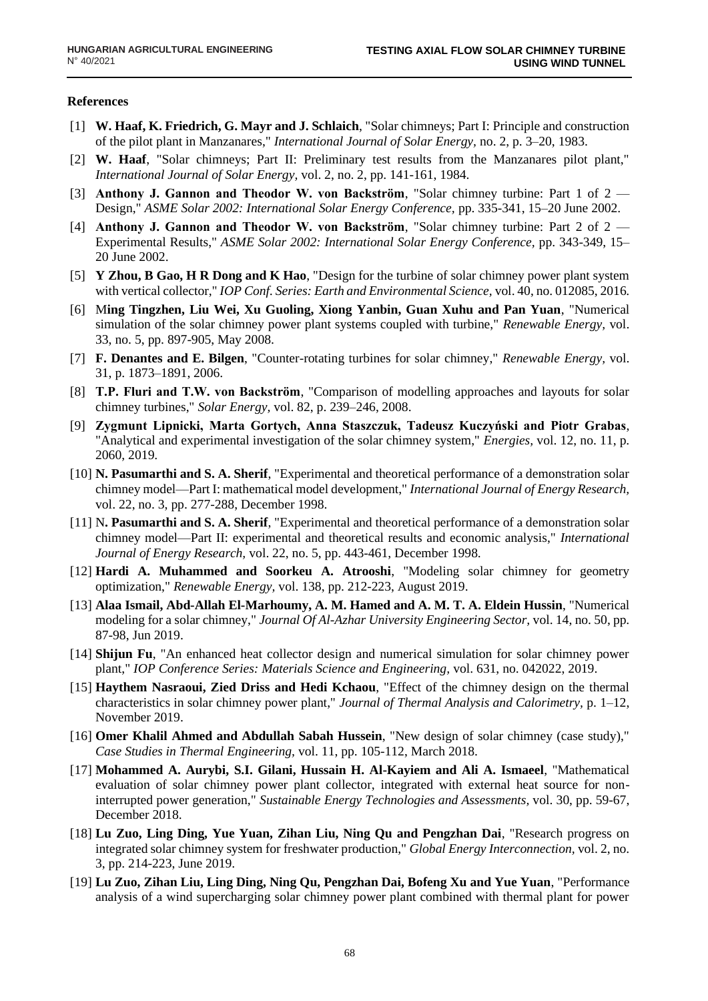#### **References**

- [1] **W. Haaf, K. Friedrich, G. Mayr and J. Schlaich**, "Solar chimneys; Part I: Principle and construction of the pilot plant in Manzanares," *International Journal of Solar Energy,* no. 2, p. 3–20, 1983.
- [2] **W. Haaf**, "Solar chimneys; Part II: Preliminary test results from the Manzanares pilot plant," *International Journal of Solar Energy,* vol. 2, no. 2, pp. 141-161, 1984.
- [3] **Anthony J. Gannon and Theodor W. von Backström**, "Solar chimney turbine: Part 1 of 2 Design," *ASME Solar 2002: International Solar Energy Conference,* pp. 335-341, 15–20 June 2002.
- [4] **Anthony J. Gannon and Theodor W. von Backström**, "Solar chimney turbine: Part 2 of 2 Experimental Results," *ASME Solar 2002: International Solar Energy Conference,* pp. 343-349, 15– 20 June 2002.
- [5] **Y Zhou, B Gao, H R Dong and K Hao**, "Design for the turbine of solar chimney power plant system with vertical collector," *IOP Conf. Series: Earth and Environmental Science,* vol. 40, no. 012085, 2016.
- [6] M**ing Tingzhen, Liu Wei, Xu Guoling, Xiong Yanbin, Guan Xuhu and Pan Yuan**, "Numerical simulation of the solar chimney power plant systems coupled with turbine," *Renewable Energy,* vol. 33, no. 5, pp. 897-905, May 2008.
- [7] **F. Denantes and E. Bilgen**, "Counter-rotating turbines for solar chimney," *Renewable Energy,* vol. 31, p. 1873–1891, 2006.
- [8] **T.P. Fluri and T.W. von Backström**, "Comparison of modelling approaches and layouts for solar chimney turbines," *Solar Energy,* vol. 82, p. 239–246, 2008.
- [9] **Zygmunt Lipnicki, Marta Gortych, Anna Staszczuk, Tadeusz Kuczyński and Piotr Grabas**, "Analytical and experimental investigation of the solar chimney system," *Energies,* vol. 12, no. 11, p. 2060, 2019.
- [10] **N. Pasumarthi and S. A. Sherif**, "Experimental and theoretical performance of a demonstration solar chimney model—Part I: mathematical model development," *International Journal of Energy Research,*  vol. 22, no. 3, pp. 277-288, December 1998.
- [11] N**. Pasumarthi and S. A. Sherif**, "Experimental and theoretical performance of a demonstration solar chimney model—Part II: experimental and theoretical results and economic analysis," *International Journal of Energy Research,* vol. 22, no. 5, pp. 443-461, December 1998.
- [12] **Hardi A. Muhammed and Soorkeu A. Atrooshi**, "Modeling solar chimney for geometry optimization," *Renewable Energy,* vol. 138, pp. 212-223, August 2019.
- [13] **Alaa Ismail, Abd-Allah El-Marhoumy, A. M. Hamed and A. M. T. A. Eldein Hussin**, "Numerical modeling for a solar chimney," *Journal Of Al-Azhar University Engineering Sector,* vol. 14, no. 50, pp. 87-98, Jun 2019.
- [14] **Shijun Fu**, "An enhanced heat collector design and numerical simulation for solar chimney power plant," *IOP Conference Series: Materials Science and Engineering,* vol. 631, no. 042022, 2019.
- [15] **Haythem Nasraoui, Zied Driss and Hedi Kchaou**, "Effect of the chimney design on the thermal characteristics in solar chimney power plant," *Journal of Thermal Analysis and Calorimetry,* p. 1–12, November 2019.
- [16] **Omer Khalil Ahmed and Abdullah Sabah Hussein**, "New design of solar chimney (case study)," *Case Studies in Thermal Engineering,* vol. 11, pp. 105-112, March 2018.
- [17] **Mohammed A. Aurybi, S.I. Gilani, Hussain H. Al-Kayiem and Ali A. Ismaeel**, "Mathematical evaluation of solar chimney power plant collector, integrated with external heat source for noninterrupted power generation," *Sustainable Energy Technologies and Assessments,* vol. 30, pp. 59-67, December 2018.
- [18] **Lu Zuo, Ling Ding, Yue Yuan, Zihan Liu, Ning Qu and Pengzhan Dai**, "Research progress on integrated solar chimney system for freshwater production," *Global Energy Interconnection,* vol. 2, no. 3, pp. 214-223, June 2019.
- [19] **Lu Zuo, Zihan Liu, Ling Ding, Ning Qu, Pengzhan Dai, Bofeng Xu and Yue Yuan**, "Performance analysis of a wind supercharging solar chimney power plant combined with thermal plant for power